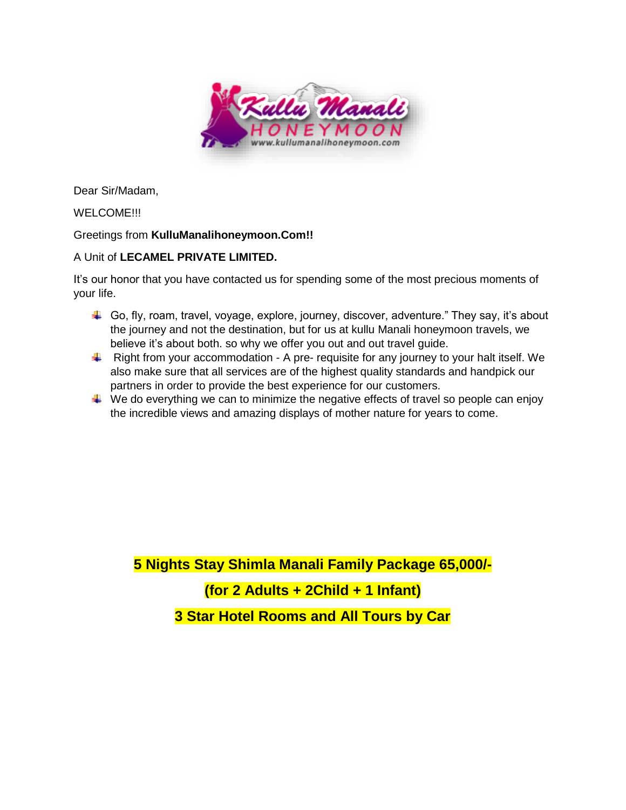

Dear Sir/Madam,

# WELCOME!!!

# Greetings from **KulluManalihoneymoon.Com!!**

# A Unit of **LECAMEL PRIVATE LIMITED.**

It's our honor that you have contacted us for spending some of the most precious moments of your life.

- Go, fly, roam, travel, voyage, explore, journey, discover, adventure." They say, it's about the journey and not the destination, but for us at kullu Manali honeymoon travels, we believe it's about both. so why we offer you out and out travel guide.
- $\downarrow$  Right from your accommodation A pre- requisite for any journey to your halt itself. We also make sure that all services are of the highest quality standards and handpick our partners in order to provide the best experience for our customers.
- $\downarrow$  We do everything we can to minimize the negative effects of travel so people can enjoy the incredible views and amazing displays of mother nature for years to come.

**5 Nights Stay Shimla Manali Family Package 65,000/-**

# **(for 2 Adults + 2Child + 1 Infant)**

**3 Star Hotel Rooms and All Tours by Car**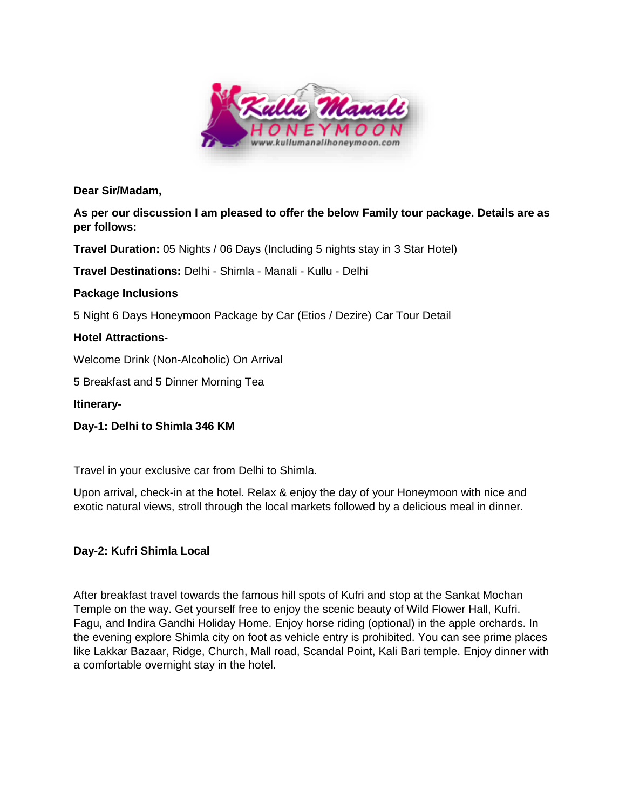

**Dear Sir/Madam,**

**As per our discussion I am pleased to offer the below Family tour package. Details are as per follows:**

**Travel Duration:** 05 Nights / 06 Days (Including 5 nights stay in 3 Star Hotel)

**Travel Destinations:** Delhi - Shimla - Manali - Kullu - Delhi

# **Package Inclusions**

5 Night 6 Days Honeymoon Package by Car (Etios / Dezire) Car Tour Detail

# **Hotel Attractions-**

Welcome Drink (Non-Alcoholic) On Arrival

5 Breakfast and 5 Dinner Morning Tea

**Itinerary-**

**Day-1: Delhi to Shimla 346 KM** 

Travel in your exclusive car from Delhi to Shimla.

Upon arrival, check-in at the hotel. Relax & enjoy the day of your Honeymoon with nice and exotic natural views, stroll through the local markets followed by a delicious meal in dinner.

# **Day-2: Kufri Shimla Local**

After breakfast travel towards the famous hill spots of Kufri and stop at the Sankat Mochan Temple on the way. Get yourself free to enjoy the scenic beauty of Wild Flower Hall, Kufri. Fagu, and Indira Gandhi Holiday Home. Enjoy horse riding (optional) in the apple orchards. In the evening explore Shimla city on foot as vehicle entry is prohibited. You can see prime places like Lakkar Bazaar, Ridge, Church, Mall road, Scandal Point, Kali Bari temple. Enjoy dinner with a comfortable overnight stay in the hotel.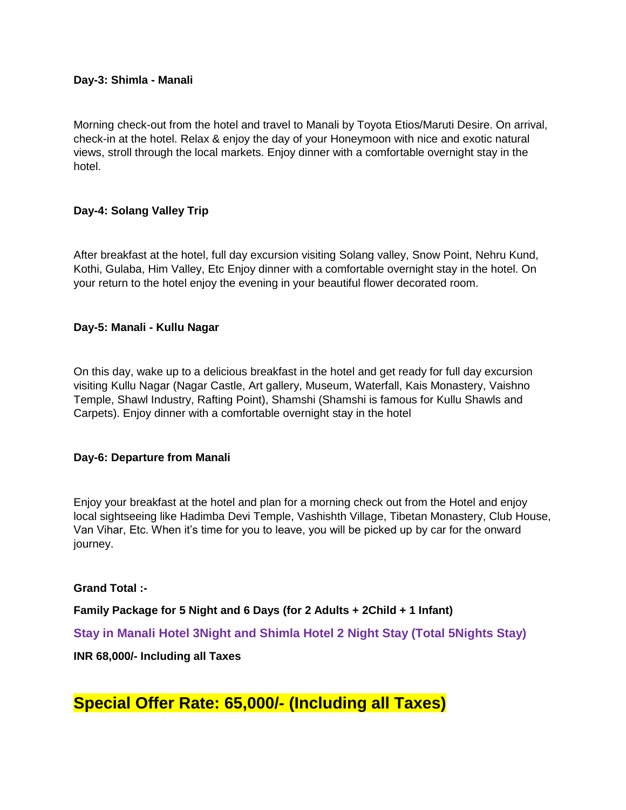#### **Day-3: Shimla - Manali**

Morning check-out from the hotel and travel to Manali by Toyota Etios/Maruti Desire. On arrival, check-in at the hotel. Relax & enjoy the day of your Honeymoon with nice and exotic natural views, stroll through the local markets. Enjoy dinner with a comfortable overnight stay in the hotel.

## **Day-4: Solang Valley Trip**

After breakfast at the hotel, full day excursion visiting Solang valley, Snow Point, Nehru Kund, Kothi, Gulaba, Him Valley, Etc Enjoy dinner with a comfortable overnight stay in the hotel. On your return to the hotel enjoy the evening in your beautiful flower decorated room.

#### **Day-5: Manali - Kullu Nagar**

On this day, wake up to a delicious breakfast in the hotel and get ready for full day excursion visiting Kullu Nagar (Nagar Castle, Art gallery, Museum, Waterfall, Kais Monastery, Vaishno Temple, Shawl Industry, Rafting Point), Shamshi (Shamshi is famous for Kullu Shawls and Carpets). Enjoy dinner with a comfortable overnight stay in the hotel

#### **Day-6: Departure from Manali**

Enjoy your breakfast at the hotel and plan for a morning check out from the Hotel and enjoy local sightseeing like Hadimba Devi Temple, Vashishth Village, Tibetan Monastery, Club House, Van Vihar, Etc. When it's time for you to leave, you will be picked up by car for the onward journey.

#### **Grand Total :-**

**Family Package for 5 Night and 6 Days (for 2 Adults + 2Child + 1 Infant)**

**Stay in Manali Hotel 3Night and Shimla Hotel 2 Night Stay (Total 5Nights Stay)**

## **INR 68,000/- Including all Taxes**

**Special Offer Rate: 65,000/- (Including all Taxes)**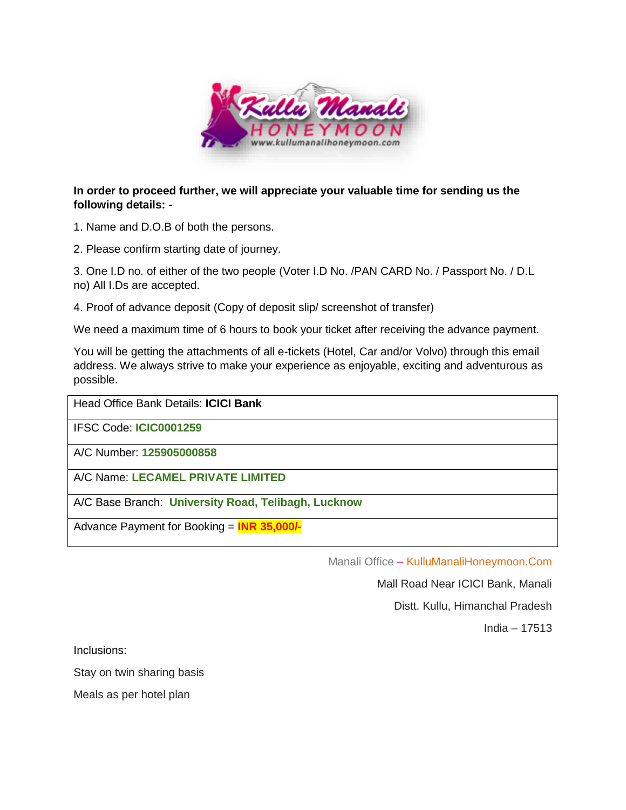

## **In order to proceed further, we will appreciate your valuable time for sending us the following details: -**

- 1. Name and D.O.B of both the persons.
- 2. Please confirm starting date of journey.

3. One I.D no. of either of the two people (Voter I.D No. /PAN CARD No. / Passport No. / D.L no) All I.Ds are accepted.

4. Proof of advance deposit (Copy of deposit slip/ screenshot of transfer)

We need a maximum time of 6 hours to book your ticket after receiving the advance payment.

You will be getting the attachments of all e-tickets (Hotel, Car and/or Volvo) through this email address. We always strive to make your experience as enjoyable, exciting and adventurous as possible.

Head Office Bank Details: **ICICI Bank**

IFSC Code: **ICIC0001259**

A/C Number: **125905000858**

A/C Name: **LECAMEL PRIVATE LIMITED**

A/C Base Branch: **University Road, Telibagh, Lucknow**

Advance Payment for Booking = **INR 35,000/-**

Manali Office – KulluManaliHoneymoon.Com

Mall Road Near ICICI Bank, Manali

Distt. Kullu, Himanchal Pradesh

India – 17513

Inclusions:

Stay on twin sharing basis

Meals as per hotel plan